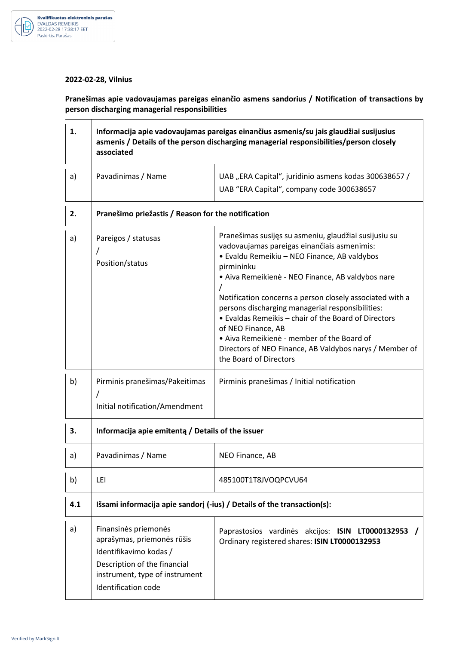

## **2022-02-28, Vilnius**

**Pranešimas apie vadovaujamas pareigas einančio asmens sandorius / Notification of transactions by person discharging managerial responsibilities** 

| 1.  | Informacija apie vadovaujamas pareigas einančius asmenis/su jais glaudžiai susijusius<br>asmenis / Details of the person discharging managerial responsibilities/person closely<br>associated |                                                                                                                                                                                                                                                                                                                                                                                                                                                                                                                                                          |  |
|-----|-----------------------------------------------------------------------------------------------------------------------------------------------------------------------------------------------|----------------------------------------------------------------------------------------------------------------------------------------------------------------------------------------------------------------------------------------------------------------------------------------------------------------------------------------------------------------------------------------------------------------------------------------------------------------------------------------------------------------------------------------------------------|--|
| a)  | Pavadinimas / Name                                                                                                                                                                            | UAB "ERA Capital", juridinio asmens kodas 300638657 /<br>UAB "ERA Capital", company code 300638657                                                                                                                                                                                                                                                                                                                                                                                                                                                       |  |
| 2.  | Pranešimo priežastis / Reason for the notification                                                                                                                                            |                                                                                                                                                                                                                                                                                                                                                                                                                                                                                                                                                          |  |
| a)  | Pareigos / statusas<br>Position/status                                                                                                                                                        | Pranešimas susijęs su asmeniu, glaudžiai susijusiu su<br>vadovaujamas pareigas einančiais asmenimis:<br>· Evaldu Remeikiu - NEO Finance, AB valdybos<br>pirmininku<br>• Aiva Remeikienė - NEO Finance, AB valdybos nare<br>Notification concerns a person closely associated with a<br>persons discharging managerial responsibilities:<br>• Evaldas Remeikis – chair of the Board of Directors<br>of NEO Finance, AB<br>• Aiva Remeikienė - member of the Board of<br>Directors of NEO Finance, AB Valdybos narys / Member of<br>the Board of Directors |  |
| b)  | Pirminis pranešimas/Pakeitimas<br>Initial notification/Amendment                                                                                                                              | Pirminis pranešimas / Initial notification                                                                                                                                                                                                                                                                                                                                                                                                                                                                                                               |  |
| 3.  | Informacija apie emitentą / Details of the issuer                                                                                                                                             |                                                                                                                                                                                                                                                                                                                                                                                                                                                                                                                                                          |  |
| a)  | Pavadinimas / Name                                                                                                                                                                            | NEO Finance, AB                                                                                                                                                                                                                                                                                                                                                                                                                                                                                                                                          |  |
| b)  | LEI                                                                                                                                                                                           | 485100T1T8JVOQPCVU64                                                                                                                                                                                                                                                                                                                                                                                                                                                                                                                                     |  |
| 4.1 | Išsami informacija apie sandorj (-ius) / Details of the transaction(s):                                                                                                                       |                                                                                                                                                                                                                                                                                                                                                                                                                                                                                                                                                          |  |
| a)  | Finansinės priemonės<br>aprašymas, priemonės rūšis<br>Identifikavimo kodas /<br>Description of the financial<br>instrument, type of instrument<br>Identification code                         | Paprastosios vardinės akcijos: ISIN LT0000132953<br>Ordinary registered shares: ISIN LT0000132953                                                                                                                                                                                                                                                                                                                                                                                                                                                        |  |